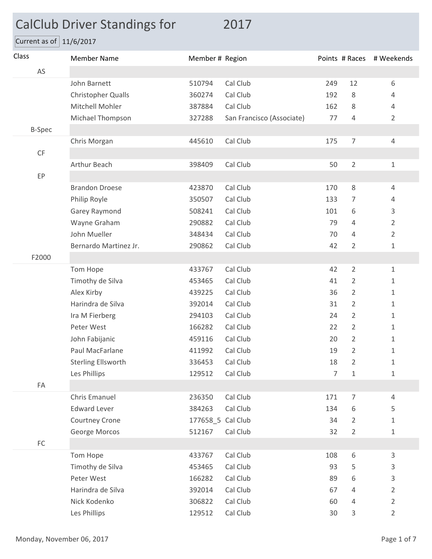## CalClub Driver Standings for 2017

Current as of  $11/6/2017$ 

| Class                  | <b>Member Name</b>        | Member # Region   |                           |                |                | Points # Races # Weekends |
|------------------------|---------------------------|-------------------|---------------------------|----------------|----------------|---------------------------|
| AS                     |                           |                   |                           |                |                |                           |
|                        | John Barnett              | 510794            | Cal Club                  | 249            | 12             | 6                         |
|                        | <b>Christopher Qualls</b> | 360274            | Cal Club                  | 192            | 8              | 4                         |
|                        | Mitchell Mohler           | 387884            | Cal Club                  | 162            | 8              | 4                         |
|                        | Michael Thompson          | 327288            | San Francisco (Associate) | 77             | 4              | 2                         |
| <b>B-Spec</b>          |                           |                   |                           |                |                |                           |
|                        | Chris Morgan              | 445610            | Cal Club                  | 175            | 7              | $\overline{4}$            |
| $\mathsf{C}\mathsf{F}$ |                           |                   |                           |                |                |                           |
|                        | Arthur Beach              | 398409            | Cal Club                  | 50             | $\overline{2}$ | 1                         |
| EP                     |                           |                   |                           |                |                |                           |
|                        | <b>Brandon Droese</b>     | 423870            | Cal Club                  | 170            | 8              | $\overline{4}$            |
|                        | Philip Royle              | 350507            | Cal Club                  | 133            | 7              | 4                         |
|                        | Garey Raymond             | 508241            | Cal Club                  | 101            | 6              | 3                         |
|                        | Wayne Graham              | 290882            | Cal Club                  | 79             | 4              | $\overline{2}$            |
|                        | John Mueller              | 348434            | Cal Club                  | 70             | 4              | $\overline{2}$            |
|                        | Bernardo Martinez Jr.     | 290862            | Cal Club                  | 42             | $\overline{2}$ | $\mathbf{1}$              |
| F2000                  |                           |                   |                           |                |                |                           |
|                        | Tom Hope                  | 433767            | Cal Club                  | 42             | $\overline{2}$ | $\mathbf{1}$              |
|                        | Timothy de Silva          | 453465            | Cal Club                  | 41             | $\overline{2}$ | 1                         |
|                        | Alex Kirby                | 439225            | Cal Club                  | 36             | 2              | 1                         |
|                        | Harindra de Silva         | 392014            | Cal Club                  | 31             | $\overline{2}$ | $\mathbf{1}$              |
|                        | Ira M Fierberg            | 294103            | Cal Club                  | 24             | $\overline{2}$ | 1                         |
|                        | Peter West                | 166282            | Cal Club                  | 22             | $\overline{2}$ | 1                         |
|                        | John Fabijanic            | 459116            | Cal Club                  | 20             | $\overline{2}$ | 1                         |
|                        | Paul MacFarlane           | 411992            | Cal Club                  | 19             | $\overline{2}$ | $\mathbf{1}$              |
|                        | Sterling Ellsworth        | 336453            | Cal Club                  | 18             | $\overline{2}$ | $\mathbf{1}$              |
|                        | Les Phillips              | 129512            | Cal Club                  | $\overline{7}$ | $1\,$          | $\mathbf 1$               |
| FA                     |                           |                   |                           |                |                |                           |
|                        | <b>Chris Emanuel</b>      | 236350            | Cal Club                  | 171            | $\overline{7}$ | 4                         |
|                        | <b>Edward Lever</b>       | 384263            | Cal Club                  | 134            | 6              | 5                         |
|                        | Courtney Crone            | 177658_5 Cal Club |                           | 34             | $\overline{2}$ | $1\,$                     |
|                        | George Morcos             | 512167            | Cal Club                  | 32             | $\overline{2}$ | 1                         |
| $\mathsf{FC}$          |                           |                   |                           |                |                |                           |
|                        | Tom Hope                  | 433767            | Cal Club                  | 108            | 6              | 3                         |
|                        | Timothy de Silva          | 453465            | Cal Club                  | 93             | 5              | 3                         |
|                        | Peter West                | 166282            | Cal Club                  | 89             | 6              | 3                         |
|                        | Harindra de Silva         | 392014            | Cal Club                  | 67             | 4              | $\overline{2}$            |
|                        | Nick Kodenko              | 306822            | Cal Club                  | 60             | 4              | $\overline{2}$            |
|                        | Les Phillips              | 129512            | Cal Club                  | 30             | 3              | $\overline{2}$            |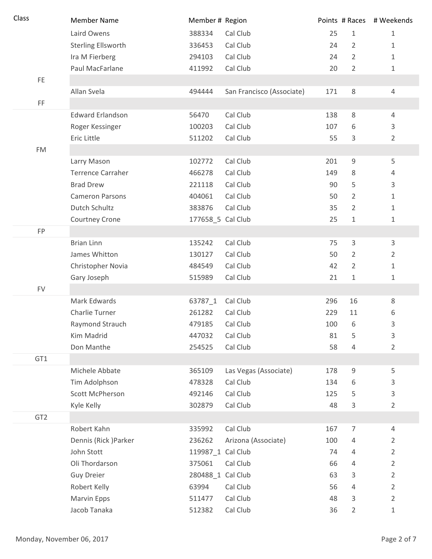| Class           | <b>Member Name</b>        | Member # Region   |                           |     | Points # Races | # Weekends     |
|-----------------|---------------------------|-------------------|---------------------------|-----|----------------|----------------|
|                 | Laird Owens               | 388334            | Cal Club                  | 25  | $\mathbf{1}$   | $\mathbf{1}$   |
|                 | <b>Sterling Ellsworth</b> | 336453            | Cal Club                  | 24  | $\overline{2}$ | 1              |
|                 | Ira M Fierberg            | 294103            | Cal Club                  | 24  | $\overline{2}$ | $\mathbf 1$    |
|                 | Paul MacFarlane           | 411992            | Cal Club                  | 20  | $\overline{2}$ | 1              |
| FE.             |                           |                   |                           |     |                |                |
|                 | Allan Svela               | 494444            | San Francisco (Associate) | 171 | 8              | $\overline{4}$ |
| FF              |                           |                   |                           |     |                |                |
|                 | <b>Edward Erlandson</b>   | 56470             | Cal Club                  | 138 | 8              | $\overline{4}$ |
|                 | Roger Kessinger           | 100203            | Cal Club                  | 107 | 6              | 3              |
|                 | Eric Little               | 511202            | Cal Club                  | 55  | 3              | 2              |
| <b>FM</b>       |                           |                   |                           |     |                |                |
|                 | Larry Mason               | 102772            | Cal Club                  | 201 | $\overline{9}$ | 5              |
|                 | <b>Terrence Carraher</b>  | 466278            | Cal Club                  | 149 | 8              | 4              |
|                 | <b>Brad Drew</b>          | 221118            | Cal Club                  | 90  | 5              | 3              |
|                 | <b>Cameron Parsons</b>    | 404061            | Cal Club                  | 50  | $\overline{2}$ | 1              |
|                 | Dutch Schultz             | 383876            | Cal Club                  | 35  | 2              | $\mathbf{1}$   |
|                 | Courtney Crone            | 177658_5 Cal Club |                           | 25  | 1              | 1              |
| FP              |                           |                   |                           |     |                |                |
|                 | <b>Brian Linn</b>         | 135242            | Cal Club                  | 75  | $\mathbf{3}$   | 3              |
|                 | James Whitton             | 130127            | Cal Club                  | 50  | 2              | 2              |
|                 | Christopher Novia         | 484549            | Cal Club                  | 42  | 2              | $1\,$          |
|                 | Gary Joseph               | 515989            | Cal Club                  | 21  | 1              | 1              |
| <b>FV</b>       |                           |                   |                           |     |                |                |
|                 | Mark Edwards              | 63787_1           | Cal Club                  | 296 | 16             | 8              |
|                 | Charlie Turner            | 261282            | Cal Club                  | 229 | 11             | 6              |
|                 | Raymond Strauch           | 479185            | Cal Club                  | 100 | 6              | 3              |
|                 | Kim Madrid                | 447032            | Cal Club                  | 81  | 5              | 3              |
|                 | Don Manthe                | 254525            | Cal Club                  | 58  | 4              | 2              |
| GT1             |                           |                   |                           |     |                |                |
|                 | Michele Abbate            | 365109            | Las Vegas (Associate)     | 178 | $\mathsf 9$    | 5              |
|                 | Tim Adolphson             | 478328            | Cal Club                  | 134 | 6              | 3              |
|                 | Scott McPherson           | 492146            | Cal Club                  | 125 | 5              | 3              |
|                 | Kyle Kelly                | 302879            | Cal Club                  | 48  | 3              | $\overline{2}$ |
| GT <sub>2</sub> |                           |                   |                           |     |                |                |
|                 | Robert Kahn               | 335992            | Cal Club                  | 167 | $\overline{7}$ | $\overline{4}$ |
|                 | Dennis (Rick) Parker      | 236262            | Arizona (Associate)       | 100 | 4              | 2              |
|                 | John Stott                | 119987_1 Cal Club |                           | 74  | 4              | 2              |
|                 | Oli Thordarson            | 375061            | Cal Club                  | 66  | $\overline{4}$ | $\overline{2}$ |
|                 | <b>Guy Dreier</b>         | 280488_1 Cal Club |                           | 63  | 3              | $\overline{2}$ |
|                 | Robert Kelly              | 63994             | Cal Club                  | 56  | $\overline{4}$ | 2              |
|                 | Marvin Epps               | 511477            | Cal Club                  | 48  | 3              | $\overline{2}$ |
|                 | Jacob Tanaka              | 512382            | Cal Club                  | 36  | 2              | 1              |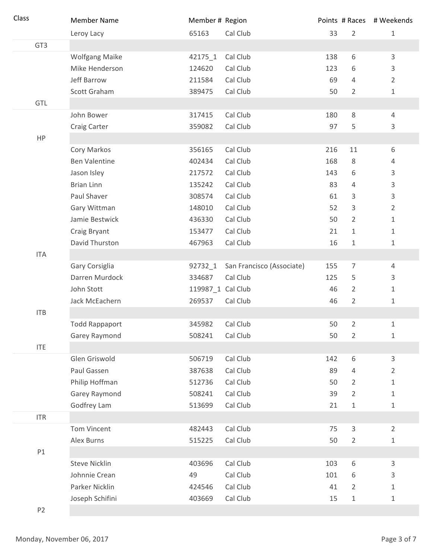| Class           | <b>Member Name</b>    | Member # Region   |                           |     |                | Points # Races # Weekends |
|-----------------|-----------------------|-------------------|---------------------------|-----|----------------|---------------------------|
|                 | Leroy Lacy            | 65163             | Cal Club                  | 33  | $\overline{2}$ | $\mathbf{1}$              |
| GT <sub>3</sub> |                       |                   |                           |     |                |                           |
|                 | <b>Wolfgang Maike</b> | 42175_1           | Cal Club                  | 138 | 6              | 3                         |
|                 | Mike Henderson        | 124620            | Cal Club                  | 123 | 6              | 3                         |
|                 | Jeff Barrow           | 211584            | Cal Club                  | 69  | 4              | $\overline{2}$            |
|                 | Scott Graham          | 389475            | Cal Club                  | 50  | $\overline{2}$ | $\mathbf{1}$              |
| GTL             |                       |                   |                           |     |                |                           |
|                 | John Bower            | 317415            | Cal Club                  | 180 | 8              | $\overline{4}$            |
|                 | Craig Carter          | 359082            | Cal Club                  | 97  | 5              | 3                         |
| HP              |                       |                   |                           |     |                |                           |
|                 | Cory Markos           | 356165            | Cal Club                  | 216 | 11             | 6                         |
|                 | <b>Ben Valentine</b>  | 402434            | Cal Club                  | 168 | 8              | 4                         |
|                 | Jason Isley           | 217572            | Cal Club                  | 143 | 6              | 3                         |
|                 | <b>Brian Linn</b>     | 135242            | Cal Club                  | 83  | 4              | 3                         |
|                 | Paul Shaver           | 308574            | Cal Club                  | 61  | 3              | 3                         |
|                 | Gary Wittman          | 148010            | Cal Club                  | 52  | 3              | $\overline{2}$            |
|                 | Jamie Bestwick        | 436330            | Cal Club                  | 50  | $\overline{2}$ | 1                         |
|                 | Craig Bryant          | 153477            | Cal Club                  | 21  | 1              | 1                         |
|                 | David Thurston        | 467963            | Cal Club                  | 16  | $1\,$          | $\mathbf{1}$              |
| <b>ITA</b>      |                       |                   |                           |     |                |                           |
|                 | Gary Corsiglia        | 92732_1           | San Francisco (Associate) | 155 | 7              | $\overline{4}$            |
|                 | Darren Murdock        | 334687            | Cal Club                  | 125 | 5              | 3                         |
|                 | John Stott            | 119987_1 Cal Club |                           | 46  | $\overline{2}$ | 1                         |
|                 | Jack McEachern        | 269537            | Cal Club                  | 46  | $\overline{2}$ | $\mathbf{1}$              |
| <b>ITB</b>      |                       |                   |                           |     |                |                           |
|                 | <b>Todd Rappaport</b> | 345982            | Cal Club                  | 50  | $\overline{2}$ | $\mathbf{1}$              |
|                 | Garey Raymond         | 508241            | Cal Club                  | 50  | $\overline{2}$ | $\mathbf{1}$              |
| <b>ITE</b>      |                       |                   |                           |     |                |                           |
|                 | Glen Griswold         | 506719            | Cal Club                  | 142 | 6              | $\mathsf{3}$              |
|                 | Paul Gassen           | 387638            | Cal Club                  | 89  | 4              | 2                         |
|                 | Philip Hoffman        | 512736            | Cal Club                  | 50  | 2              | $\mathbf{1}$              |
|                 | Garey Raymond         | 508241            | Cal Club                  | 39  | 2              | $\mathbf{1}$              |
|                 | Godfrey Lam           | 513699            | Cal Club                  | 21  | $1\,$          | $\mathbf 1$               |
| <b>ITR</b>      |                       |                   |                           |     |                |                           |
|                 | <b>Tom Vincent</b>    | 482443            | Cal Club                  | 75  | 3              | $\overline{2}$            |
|                 | Alex Burns            | 515225            | Cal Club                  | 50  | 2              | 1                         |
| P1              |                       |                   |                           |     |                |                           |
|                 | <b>Steve Nicklin</b>  | 403696            | Cal Club                  | 103 | 6              | $\mathsf{3}$              |
|                 | Johnnie Crean         | 49                | Cal Club                  | 101 | 6              | 3                         |
|                 | Parker Nicklin        | 424546            | Cal Club                  | 41  | 2              | $\mathbf{1}$              |
|                 | Joseph Schifini       | 403669            | Cal Club                  | 15  | $\mathbf 1$    | $\mathbf{1}$              |
| P <sub>2</sub>  |                       |                   |                           |     |                |                           |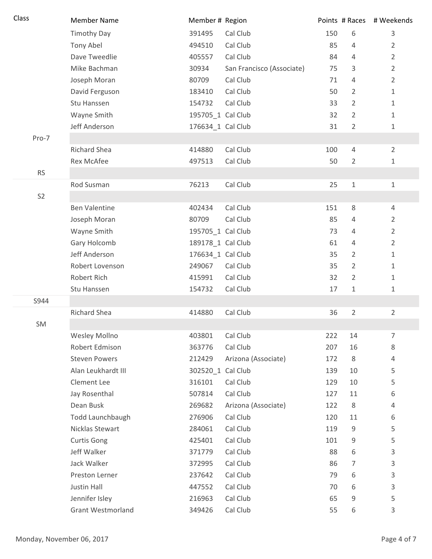| Class          | <b>Member Name</b>   | Member # Region   |                           |     |                | Points # Races # Weekends |
|----------------|----------------------|-------------------|---------------------------|-----|----------------|---------------------------|
|                | <b>Timothy Day</b>   | 391495            | Cal Club                  | 150 | 6              | 3                         |
|                | Tony Abel            | 494510            | Cal Club                  | 85  | 4              | $\overline{2}$            |
|                | Dave Tweedlie        | 405557            | Cal Club                  | 84  | 4              | 2                         |
|                | Mike Bachman         | 30934             | San Francisco (Associate) | 75  | 3              | $\overline{2}$            |
|                | Joseph Moran         | 80709             | Cal Club                  | 71  | 4              | $\overline{2}$            |
|                | David Ferguson       | 183410            | Cal Club                  | 50  | $\overline{2}$ | $\mathbf{1}$              |
|                | Stu Hanssen          | 154732            | Cal Club                  | 33  | $\overline{2}$ | 1                         |
|                | Wayne Smith          | 195705_1 Cal Club |                           | 32  | $\overline{2}$ | $\mathbf{1}$              |
|                | Jeff Anderson        | 176634_1 Cal Club |                           | 31  | $\overline{2}$ | 1                         |
| Pro-7          |                      |                   |                           |     |                |                           |
|                | <b>Richard Shea</b>  | 414880            | Cal Club                  | 100 | $\overline{4}$ | $\overline{2}$            |
|                | <b>Rex McAfee</b>    | 497513            | Cal Club                  | 50  | $\overline{2}$ | $\mathbf{1}$              |
| <b>RS</b>      |                      |                   |                           |     |                |                           |
|                | Rod Susman           | 76213             | Cal Club                  | 25  | $\mathbf 1$    | 1                         |
| S <sub>2</sub> |                      |                   |                           |     |                |                           |
|                | <b>Ben Valentine</b> | 402434            | Cal Club                  | 151 | 8              | 4                         |
|                | Joseph Moran         | 80709             | Cal Club                  | 85  | 4              | 2                         |
|                | Wayne Smith          | 195705_1 Cal Club |                           | 73  | 4              | 2                         |
|                | Gary Holcomb         | 189178_1 Cal Club |                           | 61  | 4              | 2                         |
|                | Jeff Anderson        | 176634_1 Cal Club |                           | 35  | $\overline{2}$ | 1                         |
|                | Robert Lovenson      | 249067            | Cal Club                  | 35  | 2              | 1                         |
|                | Robert Rich          | 415991            | Cal Club                  | 32  | $\overline{2}$ | 1                         |
|                | Stu Hanssen          | 154732            | Cal Club                  | 17  | 1              | 1                         |
| S944           |                      |                   |                           |     |                |                           |
|                | Richard Shea         | 414880            | Cal Club                  | 36  | $\overline{2}$ | 2                         |
| SM             |                      |                   |                           |     |                |                           |
|                | Wesley Mollno        | 403801            | Cal Club                  | 222 | 14             | 7                         |
|                | Robert Edmison       | 363776            | Cal Club                  | 207 | 16             | 8                         |
|                | <b>Steven Powers</b> | 212429            | Arizona (Associate)       | 172 | 8              | 4                         |
|                | Alan Leukhardt III   | 302520_1 Cal Club |                           | 139 | 10             | 5                         |
|                | Clement Lee          | 316101            | Cal Club                  | 129 | 10             | 5                         |
|                | Jay Rosenthal        | 507814            | Cal Club                  | 127 | 11             | 6                         |
|                | Dean Busk            | 269682            | Arizona (Associate)       | 122 | 8              | 4                         |
|                | Todd Launchbaugh     | 276906            | Cal Club                  | 120 | 11             | 6                         |
|                | Nicklas Stewart      | 284061            | Cal Club                  | 119 | 9              | 5                         |
|                | <b>Curtis Gong</b>   | 425401            | Cal Club                  | 101 | 9              | 5                         |
|                | Jeff Walker          | 371779            | Cal Club                  | 88  | 6              | 3                         |
|                | Jack Walker          | 372995            | Cal Club                  | 86  | 7              | 3                         |
|                | Preston Lerner       | 237642            | Cal Club                  | 79  | 6              | 3                         |
|                | Justin Hall          | 447552            | Cal Club                  | 70  | 6              | 3                         |
|                | Jennifer Isley       | 216963            | Cal Club                  | 65  | 9              | 5                         |
|                | Grant Westmorland    | 349426            | Cal Club                  | 55  | 6              | 3                         |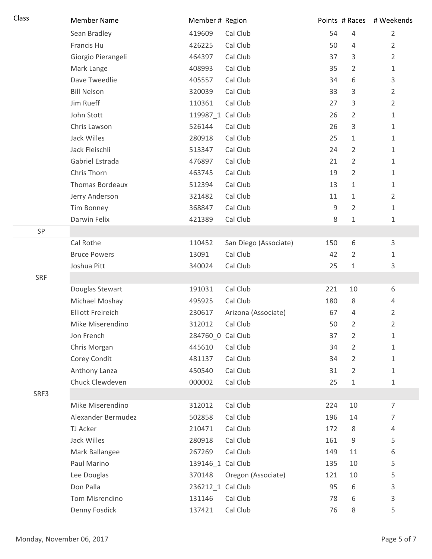| Class      | <b>Member Name</b>       | Member # Region   |                       |     |                | Points # Races # Weekends |
|------------|--------------------------|-------------------|-----------------------|-----|----------------|---------------------------|
|            | Sean Bradley             | 419609            | Cal Club              | 54  | $\overline{4}$ | $\overline{2}$            |
|            | Francis Hu               | 426225            | Cal Club              | 50  | $\overline{4}$ | $\overline{2}$            |
|            | Giorgio Pierangeli       | 464397            | Cal Club              | 37  | 3              | $\overline{2}$            |
|            | Mark Lange               | 408993            | Cal Club              | 35  | $\overline{2}$ | $\mathbf 1$               |
|            | Dave Tweedlie            | 405557            | Cal Club              | 34  | 6              | 3                         |
|            | <b>Bill Nelson</b>       | 320039            | Cal Club              | 33  | 3              | $\overline{2}$            |
|            | Jim Rueff                | 110361            | Cal Club              | 27  | 3              | $\overline{2}$            |
|            | John Stott               | 119987_1 Cal Club |                       | 26  | $\overline{2}$ | $\mathbf 1$               |
|            | Chris Lawson             | 526144            | Cal Club              | 26  | 3              | 1                         |
|            | Jack Willes              | 280918            | Cal Club              | 25  | 1              | $\mathbf 1$               |
|            | Jack Fleischli           | 513347            | Cal Club              | 24  | $\overline{2}$ | $\mathbf 1$               |
|            | Gabriel Estrada          | 476897            | Cal Club              | 21  | $\overline{2}$ | 1                         |
|            | Chris Thorn              | 463745            | Cal Club              | 19  | $\overline{2}$ | $\mathbf{1}$              |
|            | <b>Thomas Bordeaux</b>   | 512394            | Cal Club              | 13  | $\mathbf{1}$   | $\mathbf 1$               |
|            | Jerry Anderson           | 321482            | Cal Club              | 11  | 1              | $\overline{2}$            |
|            | Tim Bonney               | 368847            | Cal Club              | 9   | $\overline{2}$ | $\mathbf 1$               |
|            | Darwin Felix             | 421389            | Cal Club              | 8   | 1              | 1                         |
| SP         |                          |                   |                       |     |                |                           |
|            | Cal Rothe                | 110452            | San Diego (Associate) | 150 | 6              | 3                         |
|            | <b>Bruce Powers</b>      | 13091             | Cal Club              | 42  | $\overline{2}$ | $\mathbf 1$               |
|            | Joshua Pitt              | 340024            | Cal Club              | 25  | 1              | 3                         |
| <b>SRF</b> |                          |                   |                       |     |                |                           |
|            | Douglas Stewart          | 191031            | Cal Club              | 221 | 10             | 6                         |
|            | Michael Moshay           | 495925            | Cal Club              | 180 | 8              | 4                         |
|            | <b>Elliott Freireich</b> | 230617            | Arizona (Associate)   | 67  | $\overline{4}$ | $\overline{2}$            |
|            | Mike Miserendino         | 312012            | Cal Club              | 50  | $\overline{2}$ | $\overline{2}$            |
|            | Jon French               | 284760_0 Cal Club |                       | 37  | $\overline{2}$ | 1                         |
|            | Chris Morgan             | 445610            | Cal Club              | 34  | $\overline{2}$ | 1                         |
|            | Corey Condit             | 481137            | Cal Club              | 34  | $\overline{2}$ | $\mathbf{1}$              |
|            | Anthony Lanza            | 450540            | Cal Club              | 31  | $\overline{2}$ | $\mathbf{1}$              |
|            | Chuck Clewdeven          | 000002            | Cal Club              | 25  | 1              | $\mathbf{1}$              |
| SRF3       |                          |                   |                       |     |                |                           |
|            | Mike Miserendino         | 312012            | Cal Club              | 224 | 10             | $\overline{7}$            |
|            | Alexander Bermudez       | 502858            | Cal Club              | 196 | 14             | 7                         |
|            | TJ Acker                 | 210471            | Cal Club              | 172 | 8              | 4                         |
|            | Jack Willes              | 280918            | Cal Club              | 161 | 9              | 5                         |
|            | Mark Ballangee           | 267269            | Cal Club              | 149 | 11             | 6                         |
|            | Paul Marino              | 139146_1 Cal Club |                       | 135 | 10             | 5                         |
|            | Lee Douglas              | 370148            | Oregon (Associate)    | 121 | 10             | 5                         |
|            | Don Palla                | 236212_1 Cal Club |                       | 95  | 6              | 3                         |
|            | Tom Misrendino           | 131146            | Cal Club              | 78  | 6              | $\mathsf{3}$              |
|            | Denny Fosdick            | 137421            | Cal Club              | 76  | 8              | 5                         |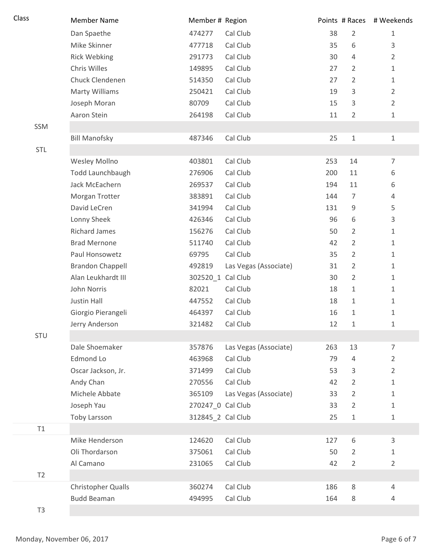| Class          | <b>Member Name</b>      | Member # Region   |                       |     | Points # Races | # Weekends     |
|----------------|-------------------------|-------------------|-----------------------|-----|----------------|----------------|
|                | Dan Spaethe             | 474277            | Cal Club              | 38  | $\overline{2}$ | 1              |
|                | Mike Skinner            | 477718            | Cal Club              | 35  | 6              | 3              |
|                | <b>Rick Webking</b>     | 291773            | Cal Club              | 30  | 4              | $\overline{2}$ |
|                | Chris Willes            | 149895            | Cal Club              | 27  | $\overline{2}$ | 1              |
|                | Chuck Clendenen         | 514350            | Cal Club              | 27  | $\overline{2}$ | 1              |
|                | <b>Marty Williams</b>   | 250421            | Cal Club              | 19  | 3              | $\overline{2}$ |
|                | Joseph Moran            | 80709             | Cal Club              | 15  | 3              | $\overline{2}$ |
|                | Aaron Stein             | 264198            | Cal Club              | 11  | $\overline{2}$ | $\mathbf{1}$   |
| SSM            |                         |                   |                       |     |                |                |
|                | <b>Bill Manofsky</b>    | 487346            | Cal Club              | 25  | $\mathbf 1$    | $\mathbf{1}$   |
| STL            |                         |                   |                       |     |                |                |
|                | Wesley Mollno           | 403801            | Cal Club              | 253 | 14             | $\overline{7}$ |
|                | Todd Launchbaugh        | 276906            | Cal Club              | 200 | 11             | 6              |
|                | Jack McEachern          | 269537            | Cal Club              | 194 | 11             | 6              |
|                | Morgan Trotter          | 383891            | Cal Club              | 144 | $\overline{7}$ | 4              |
|                | David LeCren            | 341994            | Cal Club              | 131 | 9              | 5              |
|                | Lonny Sheek             | 426346            | Cal Club              | 96  | 6              | 3              |
|                | <b>Richard James</b>    | 156276            | Cal Club              | 50  | $\overline{2}$ | $\mathbf{1}$   |
|                | <b>Brad Mernone</b>     | 511740            | Cal Club              | 42  | $\overline{2}$ | $\mathbf{1}$   |
|                | Paul Honsowetz          | 69795             | Cal Club              | 35  | $\overline{2}$ | $\mathbf{1}$   |
|                | <b>Brandon Chappell</b> | 492819            | Las Vegas (Associate) | 31  | 2              | $\mathbf 1$    |
|                | Alan Leukhardt III      | 302520_1 Cal Club |                       | 30  | $\overline{2}$ | $\mathbf{1}$   |
|                | John Norris             | 82021             | Cal Club              | 18  | $\mathbf{1}$   | 1              |
|                | Justin Hall             | 447552            | Cal Club              | 18  | 1              | 1              |
|                | Giorgio Pierangeli      | 464397            | Cal Club              | 16  | $\mathbf{1}$   | $\mathbf{1}$   |
|                | Jerry Anderson          | 321482            | Cal Club              | 12  | $\mathbf 1$    | $\mathbf 1$    |
| STU            |                         |                   |                       |     |                |                |
|                | Dale Shoemaker          | 357876            | Las Vegas (Associate) | 263 | 13             | 7              |
|                | Edmond Lo               | 463968            | Cal Club              | 79  | 4              | 2              |
|                | Oscar Jackson, Jr.      | 371499            | Cal Club              | 53  | 3              | $\overline{2}$ |
|                | Andy Chan               | 270556            | Cal Club              | 42  | 2              | 1              |
|                | Michele Abbate          | 365109            | Las Vegas (Associate) | 33  | 2              | 1              |
|                | Joseph Yau              | 270247_0 Cal Club |                       | 33  | $\overline{2}$ | 1              |
|                | Toby Larsson            | 312845_2 Cal Club |                       | 25  | $\mathbf 1$    | $\mathbf 1$    |
| T1             |                         |                   |                       |     |                |                |
|                | Mike Henderson          | 124620            | Cal Club              | 127 | 6              | 3              |
|                | Oli Thordarson          | 375061            | Cal Club              | 50  | $\overline{2}$ | 1              |
|                | Al Camano               | 231065            | Cal Club              | 42  | $\overline{2}$ | $\overline{2}$ |
| T2             |                         |                   |                       |     |                |                |
|                | Christopher Qualls      | 360274            | Cal Club              | 186 | 8              | 4              |
|                | <b>Budd Beaman</b>      | 494995            | Cal Club              | 164 | 8              | 4              |
| T <sub>3</sub> |                         |                   |                       |     |                |                |